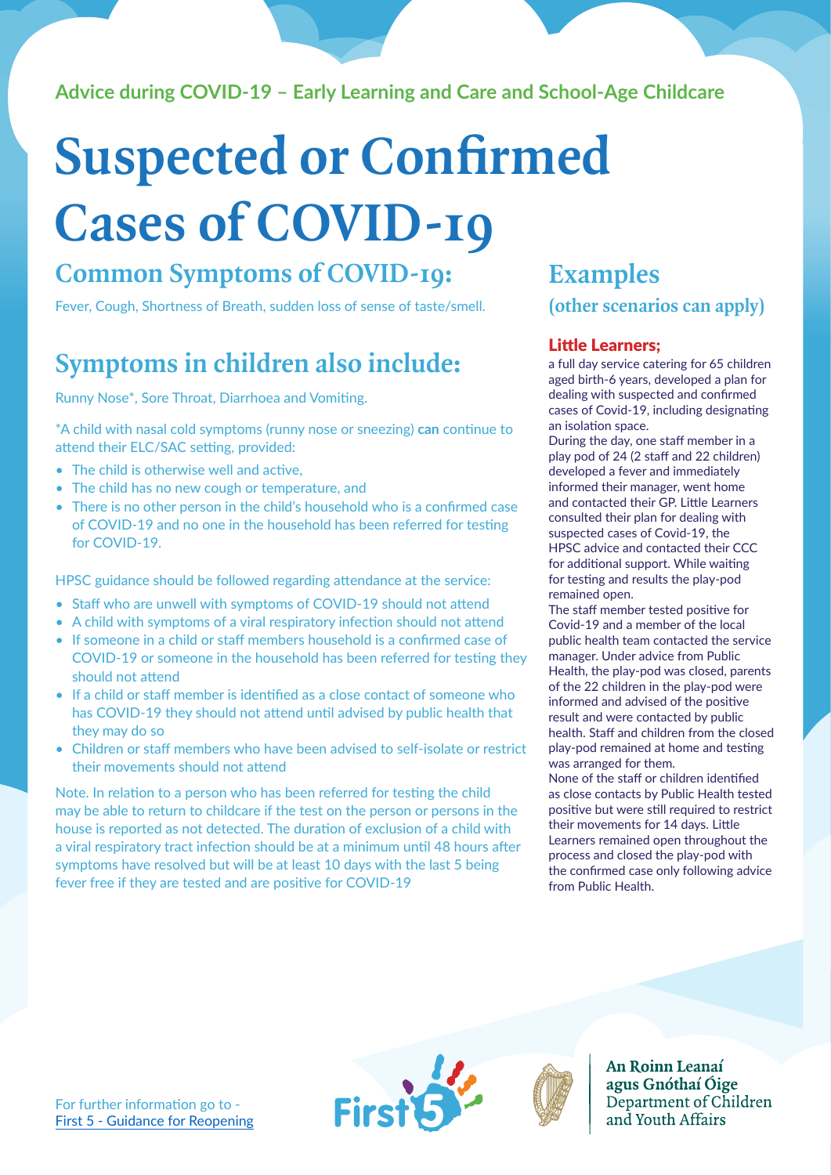### **Advice during COVID-19 – Early Learning and Care and School-Age Childcare**

## **Suspected or Confirmed Cases of COVID-19**

### **Common Symptoms of COVID-19: Examples**

Fever, Cough, Shortness of Breath, sudden loss of sense of taste/smell.

## **Symptoms in children also include:**

Runny Nose\*, Sore Throat, Diarrhoea and Vomiting.

\*A child with nasal cold symptoms (runny nose or sneezing) **can** continue to attend their ELC/SAC setting, provided:

- The child is otherwise well and active.
- The child has no new cough or temperature, and
- There is no other person in the child's household who is a confirmed case of COVID-19 and no one in the household has been referred for testing for COVID-19.

HPSC guidance should be followed regarding attendance at the service:

- Staff who are unwell with symptoms of COVID-19 should not attend
- A child with symptoms of a viral respiratory infection should not attend
- If someone in a child or staff members household is a confirmed case of COVID-19 or someone in the household has been referred for testing they should not attend
- If a child or staff member is identified as a close contact of someone who has COVID-19 they should not attend until advised by public health that they may do so
- Children or staff members who have been advised to self-isolate or restrict their movements should not attend

Note. In relation to a person who has been referred for testing the child may be able to return to childcare if the test on the person or persons in the house is reported as not detected. The duration of exclusion of a child with a viral respiratory tract infection should be at a minimum until 48 hours after symptoms have resolved but will be at least 10 days with the last 5 being fever free if they are tested and are positive for COVID-19

## **(other scenarios can apply)**

#### Little Learners;

a full day service catering for 65 children aged birth-6 years, developed a plan for dealing with suspected and confirmed cases of Covid-19, including designating an isolation space.

During the day, one staff member in a play pod of 24 (2 staff and 22 children) developed a fever and immediately informed their manager, went home and contacted their GP. Little Learners consulted their plan for dealing with suspected cases of Covid-19, the HPSC advice and contacted their CCC for additional support. While waiting for testing and results the play-pod remained open.

The staff member tested positive for Covid-19 and a member of the local public health team contacted the service manager. Under advice from Public Health, the play-pod was closed, parents of the 22 children in the play-pod were informed and advised of the positive result and were contacted by public health. Staff and children from the closed play-pod remained at home and testing was arranged for them.

None of the staff or children identified as close contacts by Public Health tested positive but were still required to restrict their movements for 14 days. Little Learners remained open throughout the process and closed the play-pod with the confirmed case only following advice from Public Health.



An Roinn Leanaí agus Gnóthaí Óige Department of Children and Youth Affairs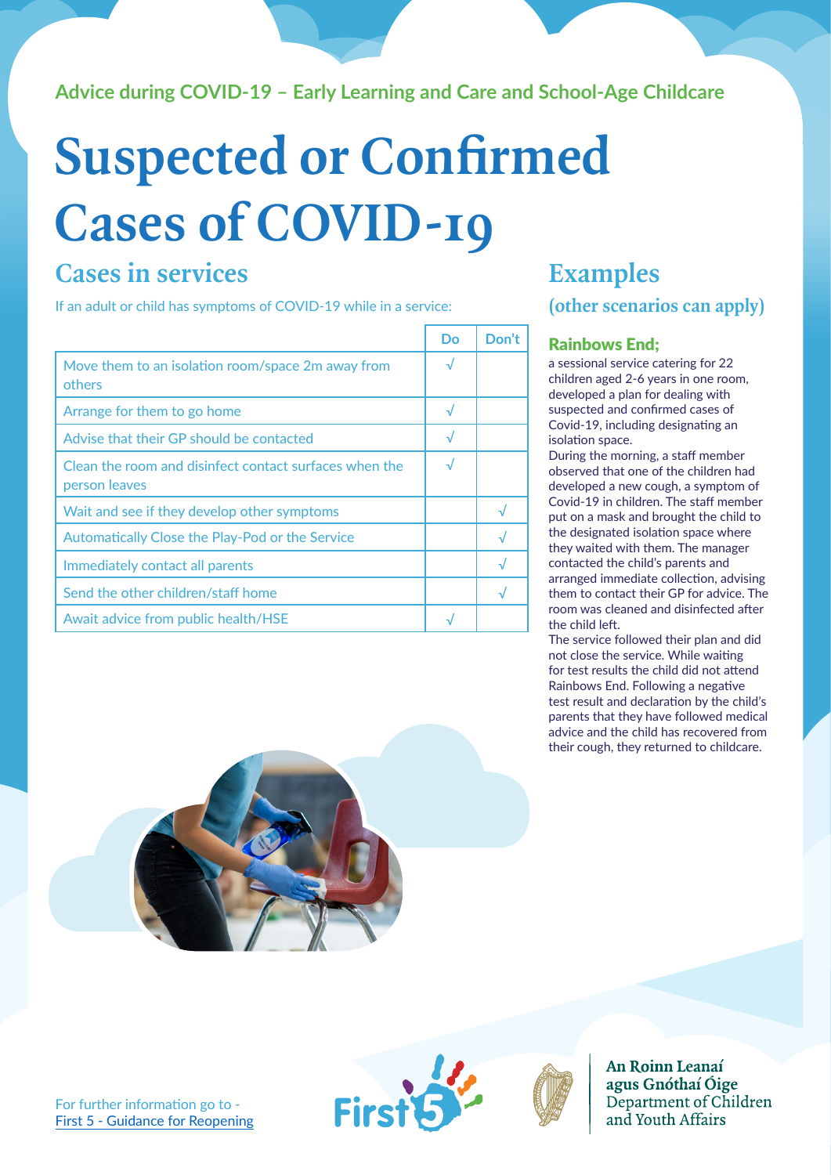### **Advice during COVID-19 – Early Learning and Care and School-Age Childcare**

# **Suspected or Confirmed Cases of COVID-19**

## **Cases in services**

If an adult or child has symptoms of COVID-19 while in a service:

|                                                                         | Do        | Don't          |
|-------------------------------------------------------------------------|-----------|----------------|
| Move them to an isolation room/space 2m away from<br>others             |           |                |
| Arrange for them to go home                                             |           |                |
| Advise that their GP should be contacted                                | $\sqrt{}$ |                |
| Clean the room and disinfect contact surfaces when the<br>person leaves |           |                |
| Wait and see if they develop other symptoms                             |           | $\overline{v}$ |
| Automatically Close the Play-Pod or the Service                         |           |                |
| Immediately contact all parents                                         |           |                |
| Send the other children/staff home                                      |           |                |
| Await advice from public health/HSE                                     |           |                |

## **(other scenarios can apply) Examples**

#### Rainbows End;

a sessional service catering for 22 children aged 2-6 years in one room, developed a plan for dealing with suspected and confirmed cases of Covid-19, including designating an isolation space.

During the morning, a staff member observed that one of the children had developed a new cough, a symptom of Covid-19 in children. The staff member put on a mask and brought the child to the designated isolation space where they waited with them. The manager contacted the child's parents and arranged immediate collection, advising them to contact their GP for advice. The room was cleaned and disinfected after the child left.

The service followed their plan and did not close the service. While waiting for test results the child did not attend Rainbows End. Following a negative test result and declaration by the child's parents that they have followed medical advice and the child has recovered from their cough, they returned to childcare.



An Roinn Leanaí agus Gnóthaí Óige Department of Children and Youth Affairs

**First**